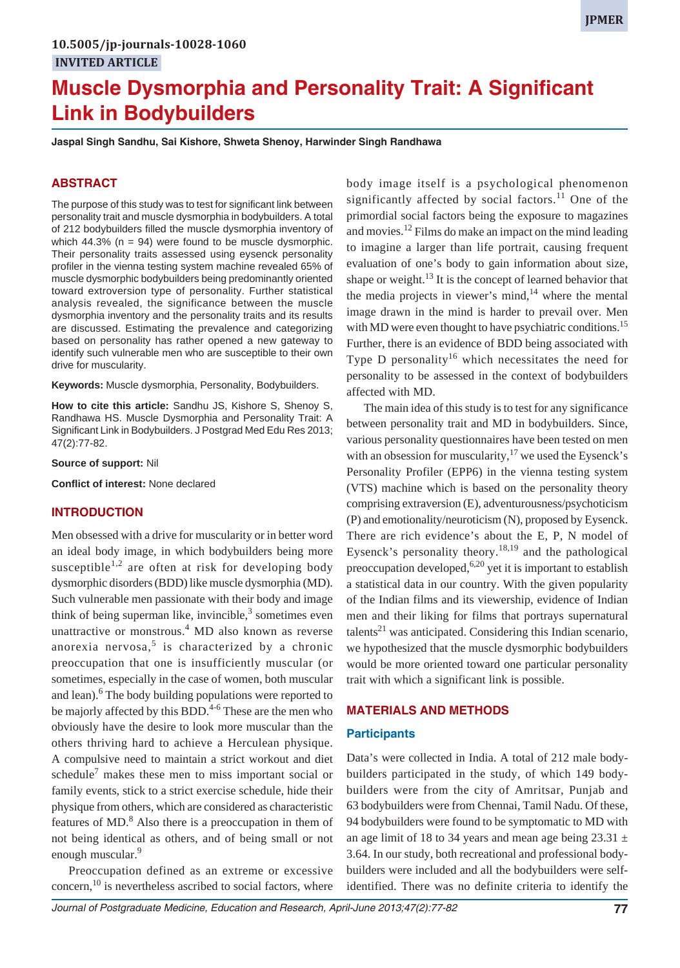# **Muscle Dysmorphia and Personality Trait: A Significant Link in Bodybuilders**

**Jaspal Singh Sandhu, Sai Kishore, Shweta Shenoy, Harwinder Singh Randhawa**

#### **ABSTRACT**

The purpose of this study was to test for significant link between personality trait and muscle dysmorphia in bodybuilders. A total of 212 bodybuilders filled the muscle dysmorphia inventory of which  $44.3\%$  (n = 94) were found to be muscle dysmorphic. Their personality traits assessed using eysenck personality profiler in the vienna testing system machine revealed 65% of muscle dysmorphic bodybuilders being predominantly oriented toward extroversion type of personality. Further statistical analysis revealed, the significance between the muscle dysmorphia inventory and the personality traits and its results are discussed. Estimating the prevalence and categorizing based on personality has rather opened a new gateway to identify such vulnerable men who are susceptible to their own drive for muscularity.

**Keywords:** Muscle dysmorphia, Personality, Bodybuilders.

**How to cite this article:** Sandhu JS, Kishore S, Shenoy S, Randhawa HS. Muscle Dysmorphia and Personality Trait: A Significant Link in Bodybuilders. J Postgrad Med Edu Res 2013; 47(2):77-82.

**Source of support:** Nil

**Conflict of interest:** None declared

#### **INTRODUCTION**

Men obsessed with a drive for muscularity or in better word an ideal body image, in which bodybuilders being more susceptible<sup>1,2</sup> are often at risk for developing body dysmorphic disorders (BDD) like muscle dysmorphia (MD). Such vulnerable men passionate with their body and image think of being superman like, invincible, $3$  sometimes even unattractive or monstrous.<sup>4</sup> MD also known as reverse anorexia nervosa, $5$  is characterized by a chronic preoccupation that one is insufficiently muscular (or sometimes, especially in the case of women, both muscular and lean).<sup>6</sup> The body building populations were reported to be majorly affected by this BDD.<sup>4-6</sup> These are the men who obviously have the desire to look more muscular than the others thriving hard to achieve a Herculean physique. A compulsive need to maintain a strict workout and diet schedule<sup>7</sup> makes these men to miss important social or family events, stick to a strict exercise schedule, hide their physique from others, which are considered as characteristic features of MD.<sup>8</sup> Also there is a preoccupation in them of not being identical as others, and of being small or not enough muscular.<sup>9</sup>

Preoccupation defined as an extreme or excessive concern, $^{10}$  is nevertheless ascribed to social factors, where

body image itself is a psychological phenomenon significantly affected by social factors.<sup>11</sup> One of the primordial social factors being the exposure to magazines and movies.<sup>12</sup> Films do make an impact on the mind leading to imagine a larger than life portrait, causing frequent evaluation of one's body to gain information about size, shape or weight.<sup>13</sup> It is the concept of learned behavior that the media projects in viewer's mind, $14$  where the mental image drawn in the mind is harder to prevail over. Men with MD were even thought to have psychiatric conditions.<sup>15</sup> Further, there is an evidence of BDD being associated with Type D personality<sup>16</sup> which necessitates the need for personality to be assessed in the context of bodybuilders affected with MD.

The main idea of this study is to test for any significance between personality trait and MD in bodybuilders. Since, various personality questionnaires have been tested on men with an obsession for muscularity,  $17$  we used the Eysenck's Personality Profiler (EPP6) in the vienna testing system (VTS) machine which is based on the personality theory comprising extraversion (E), adventurousness/psychoticism (P) and emotionality/neuroticism (N), proposed by Eysenck. There are rich evidence's about the E, P, N model of Eysenck's personality theory.<sup>18,19</sup> and the pathological preoccupation developed,  $6,20$  yet it is important to establish a statistical data in our country. With the given popularity of the Indian films and its viewership, evidence of Indian men and their liking for films that portrays supernatural talents<sup>21</sup> was anticipated. Considering this Indian scenario, we hypothesized that the muscle dysmorphic bodybuilders would be more oriented toward one particular personality trait with which a significant link is possible.

## **MATERIALS AND METHODS**

#### **Participants**

Data's were collected in India. A total of 212 male bodybuilders participated in the study, of which 149 bodybuilders were from the city of Amritsar, Punjab and 63 bodybuilders were from Chennai, Tamil Nadu. Of these, 94 bodybuilders were found to be symptomatic to MD with an age limit of 18 to 34 years and mean age being  $23.31 \pm$ 3.64. In our study, both recreational and professional bodybuilders were included and all the bodybuilders were selfidentified. There was no definite criteria to identify the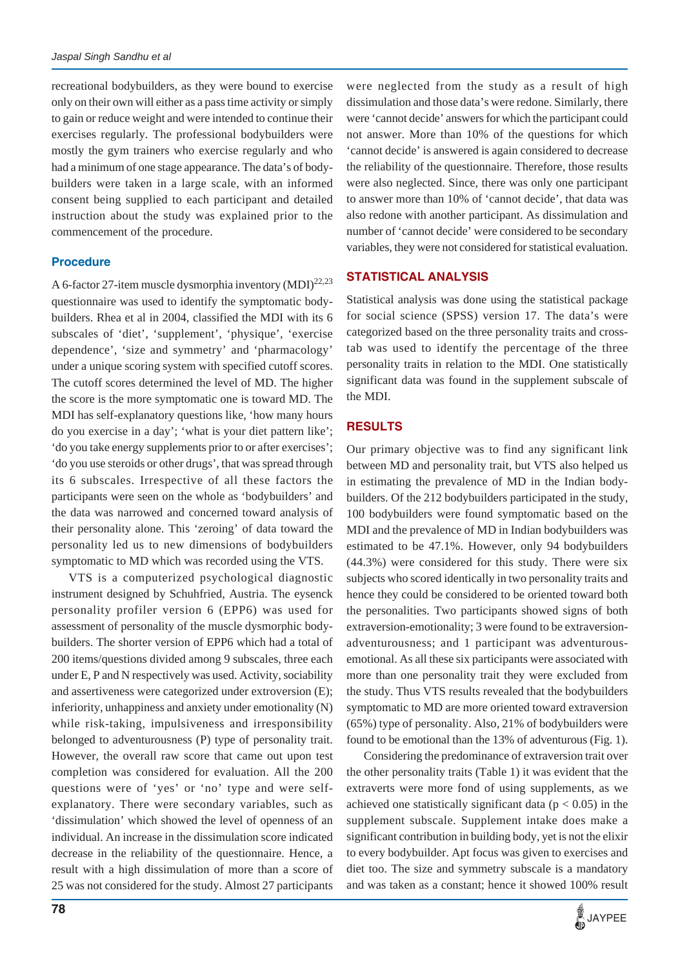recreational bodybuilders, as they were bound to exercise only on their own will either as a pass time activity or simply to gain or reduce weight and were intended to continue their exercises regularly. The professional bodybuilders were mostly the gym trainers who exercise regularly and who had a minimum of one stage appearance. The data's of bodybuilders were taken in a large scale, with an informed consent being supplied to each participant and detailed instruction about the study was explained prior to the commencement of the procedure.

## **Procedure**

A 6-factor 27-item muscle dysmorphia inventory  $(MDI)^{22,23}$ questionnaire was used to identify the symptomatic bodybuilders. Rhea et al in 2004, classified the MDI with its 6 subscales of 'diet', 'supplement', 'physique', 'exercise dependence', 'size and symmetry' and 'pharmacology' under a unique scoring system with specified cutoff scores. The cutoff scores determined the level of MD. The higher the score is the more symptomatic one is toward MD. The MDI has self-explanatory questions like, 'how many hours do you exercise in a day'; 'what is your diet pattern like'; 'do you take energy supplements prior to or after exercises'; 'do you use steroids or other drugs', that was spread through its 6 subscales. Irrespective of all these factors the participants were seen on the whole as 'bodybuilders' and the data was narrowed and concerned toward analysis of their personality alone. This 'zeroing' of data toward the personality led us to new dimensions of bodybuilders symptomatic to MD which was recorded using the VTS.

VTS is a computerized psychological diagnostic instrument designed by Schuhfried, Austria. The eysenck personality profiler version 6 (EPP6) was used for assessment of personality of the muscle dysmorphic bodybuilders. The shorter version of EPP6 which had a total of 200 items/questions divided among 9 subscales, three each under E, P and N respectively was used. Activity, sociability and assertiveness were categorized under extroversion (E); inferiority, unhappiness and anxiety under emotionality (N) while risk-taking, impulsiveness and irresponsibility belonged to adventurousness (P) type of personality trait. However, the overall raw score that came out upon test completion was considered for evaluation. All the 200 questions were of 'yes' or 'no' type and were selfexplanatory. There were secondary variables, such as 'dissimulation' which showed the level of openness of an individual. An increase in the dissimulation score indicated decrease in the reliability of the questionnaire. Hence, a result with a high dissimulation of more than a score of 25 was not considered for the study. Almost 27 participants

were neglected from the study as a result of high dissimulation and those data's were redone. Similarly, there were 'cannot decide' answers for which the participant could not answer. More than 10% of the questions for which 'cannot decide' is answered is again considered to decrease the reliability of the questionnaire. Therefore, those results were also neglected. Since, there was only one participant to answer more than 10% of 'cannot decide', that data was also redone with another participant. As dissimulation and number of 'cannot decide' were considered to be secondary variables, they were not considered for statistical evaluation.

# **STATISTICAL ANALYSIS**

Statistical analysis was done using the statistical package for social science (SPSS) version 17. The data's were categorized based on the three personality traits and crosstab was used to identify the percentage of the three personality traits in relation to the MDI. One statistically significant data was found in the supplement subscale of the MDI.

# **RESULTS**

Our primary objective was to find any significant link between MD and personality trait, but VTS also helped us in estimating the prevalence of MD in the Indian bodybuilders. Of the 212 bodybuilders participated in the study, 100 bodybuilders were found symptomatic based on the MDI and the prevalence of MD in Indian bodybuilders was estimated to be 47.1%. However, only 94 bodybuilders (44.3%) were considered for this study. There were six subjects who scored identically in two personality traits and hence they could be considered to be oriented toward both the personalities. Two participants showed signs of both extraversion-emotionality; 3 were found to be extraversionadventurousness; and 1 participant was adventurousemotional. As all these six participants were associated with more than one personality trait they were excluded from the study. Thus VTS results revealed that the bodybuilders symptomatic to MD are more oriented toward extraversion (65%) type of personality. Also, 21% of bodybuilders were found to be emotional than the 13% of adventurous (Fig. 1).

Considering the predominance of extraversion trait over the other personality traits (Table 1) it was evident that the extraverts were more fond of using supplements, as we achieved one statistically significant data ( $p < 0.05$ ) in the supplement subscale. Supplement intake does make a significant contribution in building body, yet is not the elixir to every bodybuilder. Apt focus was given to exercises and diet too. The size and symmetry subscale is a mandatory and was taken as a constant; hence it showed 100% result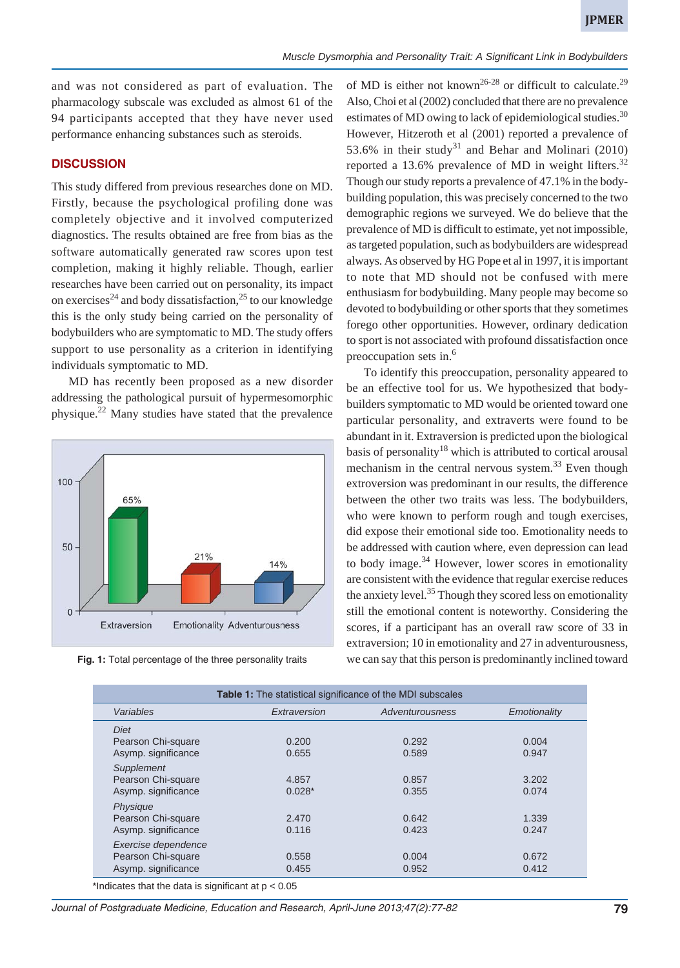and was not considered as part of evaluation. The pharmacology subscale was excluded as almost 61 of the 94 participants accepted that they have never used performance enhancing substances such as steroids.

#### **DISCUSSION**

This study differed from previous researches done on MD. Firstly, because the psychological profiling done was completely objective and it involved computerized diagnostics. The results obtained are free from bias as the software automatically generated raw scores upon test completion, making it highly reliable. Though, earlier researches have been carried out on personality, its impact on exercises<sup>24</sup> and body dissatisfaction,<sup>25</sup> to our knowledge this is the only study being carried on the personality of bodybuilders who are symptomatic to MD. The study offers support to use personality as a criterion in identifying individuals symptomatic to MD.

MD has recently been proposed as a new disorder addressing the pathological pursuit of hypermesomorphic physique.22 Many studies have stated that the prevalence



of MD is either not known<sup>26-28</sup> or difficult to calculate.<sup>29</sup> Also, Choi et al (2002) concluded that there are no prevalence estimates of MD owing to lack of epidemiological studies.<sup>30</sup> However, Hitzeroth et al (2001) reported a prevalence of 53.6% in their study<sup>31</sup> and Behar and Molinari (2010) reported a 13.6% prevalence of MD in weight lifters.<sup>32</sup> Though our study reports a prevalence of 47.1% in the bodybuilding population, this was precisely concerned to the two demographic regions we surveyed. We do believe that the prevalence of MD is difficult to estimate, yet not impossible, as targeted population, such as bodybuilders are widespread always. As observed by HG Pope et al in 1997, it is important to note that MD should not be confused with mere enthusiasm for bodybuilding. Many people may become so devoted to bodybuilding or other sports that they sometimes forego other opportunities. However, ordinary dedication to sport is not associated with profound dissatisfaction once preoccupation sets in.<sup>6</sup>

To identify this preoccupation, personality appeared to be an effective tool for us. We hypothesized that bodybuilders symptomatic to MD would be oriented toward one particular personality, and extraverts were found to be abundant in it. Extraversion is predicted upon the biological basis of personality<sup>18</sup> which is attributed to cortical arousal mechanism in the central nervous system.<sup>33</sup> Even though extroversion was predominant in our results, the difference between the other two traits was less. The bodybuilders, who were known to perform rough and tough exercises, did expose their emotional side too. Emotionality needs to be addressed with caution where, even depression can lead to body image. $34$  However, lower scores in emotionality are consistent with the evidence that regular exercise reduces the anxiety level.<sup>35</sup> Though they scored less on emotionality still the emotional content is noteworthy. Considering the scores, if a participant has an overall raw score of 33 in extraversion; 10 in emotionality and 27 in adventurousness, **Fig. 1:** Total percentage of the three personality traits we can say that this person is predominantly inclined toward

| <b>Table 1:</b> The statistical significance of the MDI subscales |                 |                |  |  |  |  |  |  |
|-------------------------------------------------------------------|-----------------|----------------|--|--|--|--|--|--|
| Extraversion                                                      | Adventurousness | Emotionality   |  |  |  |  |  |  |
|                                                                   |                 | 0.004          |  |  |  |  |  |  |
| 0.655                                                             | 0.589           | 0.947          |  |  |  |  |  |  |
| 4.857<br>$0.028*$                                                 | 0.857<br>0.355  | 3.202<br>0.074 |  |  |  |  |  |  |
| 2.470<br>0.116                                                    | 0.642<br>0.423  | 1.339<br>0.247 |  |  |  |  |  |  |
| 0.558<br>0.455                                                    | 0.004<br>0.952  | 0.672<br>0.412 |  |  |  |  |  |  |
|                                                                   | 0.200           | 0.292          |  |  |  |  |  |  |

Indicates that the data is significant at  $p < 0.05$ 

*Journal of Postgraduate Medicine, Education and Research, April-June 2013;47(2):77-82* **79**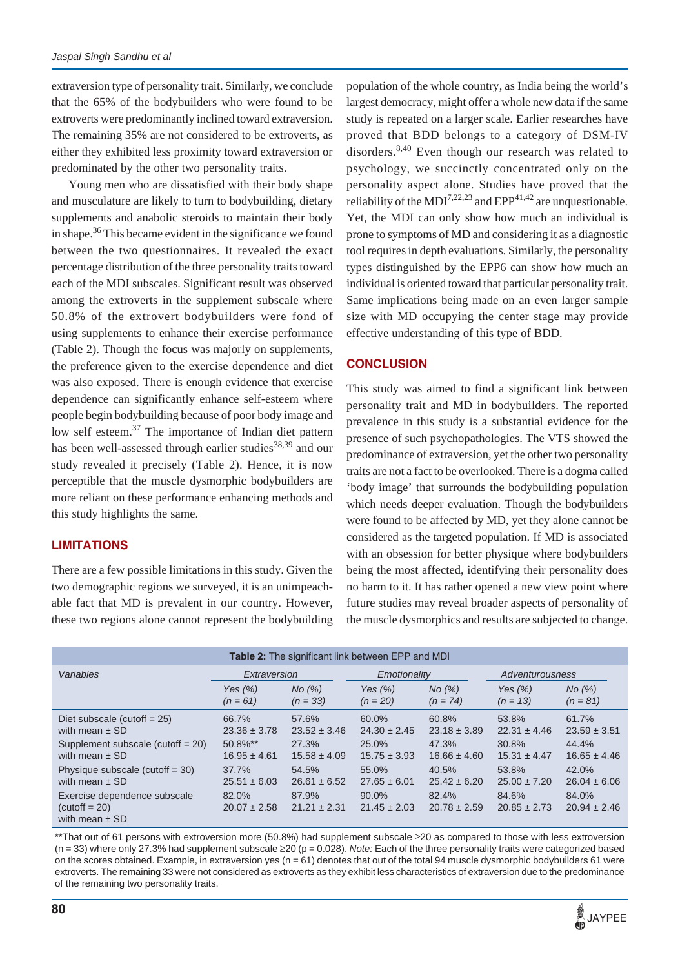extraversion type of personality trait. Similarly, we conclude that the 65% of the bodybuilders who were found to be extroverts were predominantly inclined toward extraversion. The remaining 35% are not considered to be extroverts, as either they exhibited less proximity toward extraversion or predominated by the other two personality traits.

Young men who are dissatisfied with their body shape and musculature are likely to turn to bodybuilding, dietary supplements and anabolic steroids to maintain their body in shape.<sup>36</sup> This became evident in the significance we found between the two questionnaires. It revealed the exact percentage distribution of the three personality traits toward each of the MDI subscales. Significant result was observed among the extroverts in the supplement subscale where 50.8% of the extrovert bodybuilders were fond of using supplements to enhance their exercise performance (Table 2). Though the focus was majorly on supplements, the preference given to the exercise dependence and diet was also exposed. There is enough evidence that exercise dependence can significantly enhance self-esteem where people begin bodybuilding because of poor body image and low self esteem.<sup>37</sup> The importance of Indian diet pattern has been well-assessed through earlier studies<sup>38,39</sup> and our study revealed it precisely (Table 2). Hence, it is now perceptible that the muscle dysmorphic bodybuilders are more reliant on these performance enhancing methods and this study highlights the same.

# **LIMITATIONS**

There are a few possible limitations in this study. Given the two demographic regions we surveyed, it is an unimpeachable fact that MD is prevalent in our country. However, these two regions alone cannot represent the bodybuilding

population of the whole country, as India being the world's largest democracy, might offer a whole new data if the same study is repeated on a larger scale. Earlier researches have proved that BDD belongs to a category of DSM-IV disorders.<sup>8,40</sup> Even though our research was related to psychology, we succinctly concentrated only on the personality aspect alone. Studies have proved that the reliability of the MDI<sup>7,22,23</sup> and EPP<sup>41,42</sup> are unquestionable. Yet, the MDI can only show how much an individual is prone to symptoms of MD and considering it as a diagnostic tool requires in depth evaluations. Similarly, the personality types distinguished by the EPP6 can show how much an individual is oriented toward that particular personality trait. Same implications being made on an even larger sample size with MD occupying the center stage may provide effective understanding of this type of BDD.

# **CONCLUSION**

This study was aimed to find a significant link between personality trait and MD in bodybuilders. The reported prevalence in this study is a substantial evidence for the presence of such psychopathologies. The VTS showed the predominance of extraversion, yet the other two personality traits are not a fact to be overlooked. There is a dogma called 'body image' that surrounds the bodybuilding population which needs deeper evaluation. Though the bodybuilders were found to be affected by MD, yet they alone cannot be considered as the targeted population. If MD is associated with an obsession for better physique where bodybuilders being the most affected, identifying their personality does no harm to it. It has rather opened a new view point where future studies may reveal broader aspects of personality of the muscle dysmorphics and results are subjected to change.

| Table 2: The significant link between EPP and MDI                     |                           |                           |                              |                           |                           |                           |  |
|-----------------------------------------------------------------------|---------------------------|---------------------------|------------------------------|---------------------------|---------------------------|---------------------------|--|
| Variables                                                             | Extraversion              |                           | Emotionality                 |                           | Adventurousness           |                           |  |
|                                                                       | Yes $(\% )$               | $N0(\%)$                  | Yes $(\%)$                   | No (%)                    | Yes $(\%)$                | No (%)                    |  |
|                                                                       | $(n = 61)$                | $(n = 33)$                | $(n = 20)$                   | $(n = 74)$                | $(n = 13)$                | $(n = 81)$                |  |
| Diet subscale (cutoff $= 25$ )                                        | 66.7%                     | 57.6%                     | 60.0%                        | 60.8%                     | 53.8%                     | 61.7%                     |  |
| with mean $\pm$ SD                                                    | $23.36 \pm 3.78$          | $23.52 \pm 3.46$          | $24.30 \pm 2.45$             | $23.18 \pm 3.89$          | $22.31 \pm 4.46$          | $23.59 \pm 3.51$          |  |
| Supplement subscale (cutoff $= 20$ )                                  | 50.8%**                   | 27.3%                     | 25.0%                        | 47.3%                     | 30.8%                     | 44.4%                     |  |
| with mean $\pm$ SD                                                    | $16.95 \pm 4.61$          | $15.58 \pm 4.09$          | $15.75 \pm 3.93$             | $16.66 \pm 4.60$          | $15.31 \pm 4.47$          | $16.65 \pm 4.46$          |  |
| Physique subscale (cutoff $=$ 30)                                     | 37.7%                     | 54.5%                     | 55.0%                        | 40.5%                     | 53.8%                     | 42.0%                     |  |
| with mean $\pm$ SD                                                    | $25.51 \pm 6.03$          | $26.61 \pm 6.52$          | $27.65 \pm 6.01$             | $25.42 \pm 6.20$          | $25.00 \pm 7.20$          | $26.04 \pm 6.06$          |  |
| Exercise dependence subscale<br>$(cutoff = 20)$<br>with mean $\pm$ SD | 82.0%<br>$20.07 \pm 2.58$ | 87.9%<br>$21.21 \pm 2.31$ | $90.0\%$<br>$21.45 \pm 2.03$ | 82.4%<br>$20.78 \pm 2.59$ | 84.6%<br>$20.85 \pm 2.73$ | 84.0%<br>$20.94 \pm 2.46$ |  |

\*\*That out of 61 persons with extroversion more (50.8%) had supplement subscale ≥20 as compared to those with less extroversion (n = 33) where only 27.3% had supplement subscale ≥20 (p = 0.028). *Note:* Each of the three personality traits were categorized based on the scores obtained. Example, in extraversion yes ( $n = 61$ ) denotes that out of the total 94 muscle dysmorphic bodybuilders 61 were extroverts. The remaining 33 were not considered as extroverts as they exhibit less characteristics of extraversion due to the predominance of the remaining two personality traits.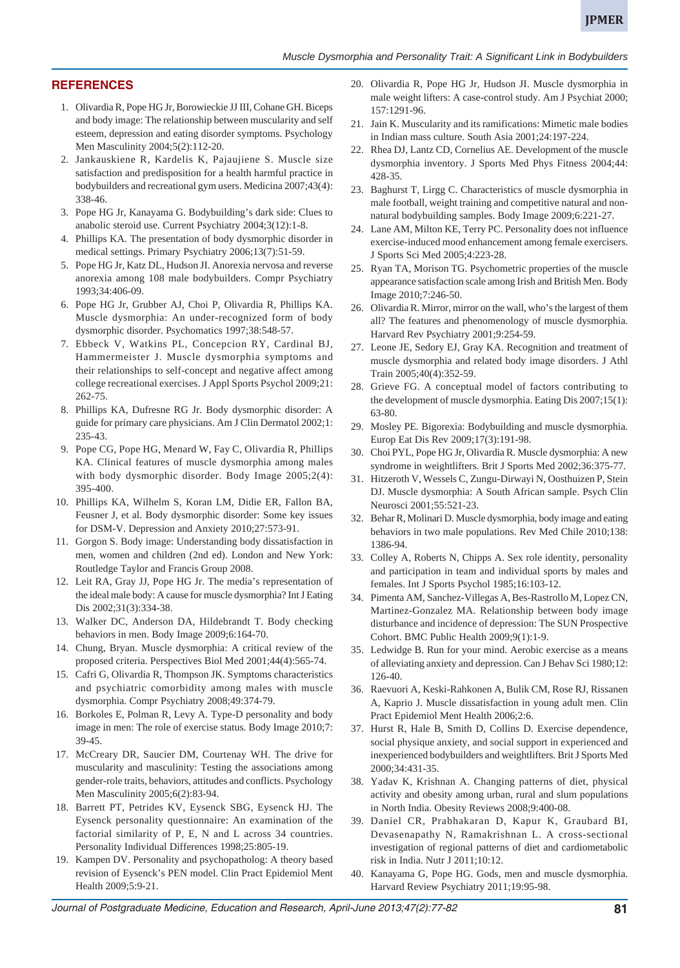#### **REFERENCES**

- 1. Olivardia R, Pope HG Jr, Borowieckie JJ III, Cohane GH. Biceps and body image: The relationship between muscularity and self esteem, depression and eating disorder symptoms. Psychology Men Masculinity 2004;5(2):112-20.
- 2. Jankauskiene R, Kardelis K, Pajaujiene S. Muscle size satisfaction and predisposition for a health harmful practice in bodybuilders and recreational gym users. Medicina 2007;43(4): 338-46.
- 3. Pope HG Jr, Kanayama G. Bodybuilding's dark side: Clues to anabolic steroid use. Current Psychiatry 2004;3(12):1-8.
- 4. Phillips KA. The presentation of body dysmorphic disorder in medical settings. Primary Psychiatry 2006;13(7):51-59.
- 5. Pope HG Jr, Katz DL, Hudson JI. Anorexia nervosa and reverse anorexia among 108 male bodybuilders. Compr Psychiatry 1993;34:406-09.
- 6. Pope HG Jr, Grubber AJ, Choi P, Olivardia R, Phillips KA. Muscle dysmorphia: An under-recognized form of body dysmorphic disorder. Psychomatics 1997;38:548-57.
- 7. Ebbeck V, Watkins PL, Concepcion RY, Cardinal BJ, Hammermeister J. Muscle dysmorphia symptoms and their relationships to self-concept and negative affect among college recreational exercises. J Appl Sports Psychol 2009;21: 262-75.
- 8. Phillips KA, Dufresne RG Jr. Body dysmorphic disorder: A guide for primary care physicians. Am J Clin Dermatol 2002;1: 235-43.
- 9. Pope CG, Pope HG, Menard W, Fay C, Olivardia R, Phillips KA. Clinical features of muscle dysmorphia among males with body dysmorphic disorder. Body Image 2005;2(4): 395-400.
- 10. Phillips KA, Wilhelm S, Koran LM, Didie ER, Fallon BA, Feusner J, et al. Body dysmorphic disorder: Some key issues for DSM-V. Depression and Anxiety 2010;27:573-91.
- 11. Gorgon S. Body image: Understanding body dissatisfaction in men, women and children (2nd ed). London and New York: Routledge Taylor and Francis Group 2008.
- 12. Leit RA, Gray JJ, Pope HG Jr. The media's representation of the ideal male body: A cause for muscle dysmorphia? Int J Eating Dis 2002;31(3):334-38.
- 13. Walker DC, Anderson DA, Hildebrandt T. Body checking behaviors in men. Body Image 2009;6:164-70.
- 14. Chung, Bryan. Muscle dysmorphia: A critical review of the proposed criteria. Perspectives Biol Med 2001;44(4):565-74.
- 15. Cafri G, Olivardia R, Thompson JK. Symptoms characteristics and psychiatric comorbidity among males with muscle dysmorphia. Compr Psychiatry 2008;49:374-79.
- 16. Borkoles E, Polman R, Levy A. Type-D personality and body image in men: The role of exercise status. Body Image 2010;7: 39-45.
- 17. McCreary DR, Saucier DM, Courtenay WH. The drive for muscularity and masculinity: Testing the associations among gender-role traits, behaviors, attitudes and conflicts. Psychology Men Masculinity 2005;6(2):83-94.
- 18. Barrett PT, Petrides KV, Eysenck SBG, Eysenck HJ. The Eysenck personality questionnaire: An examination of the factorial similarity of P, E, N and L across 34 countries. Personality Individual Differences 1998;25:805-19.
- 19. Kampen DV. Personality and psychopatholog: A theory based revision of Eysenck's PEN model. Clin Pract Epidemiol Ment Health 2009;5:9-21.
- 20. Olivardia R, Pope HG Jr, Hudson JI. Muscle dysmorphia in male weight lifters: A case-control study. Am J Psychiat 2000; 157:1291-96.
- 21. Jain K. Muscularity and its ramifications: Mimetic male bodies in Indian mass culture. South Asia 2001;24:197-224.
- 22. Rhea DJ, Lantz CD, Cornelius AE. Development of the muscle dysmorphia inventory. J Sports Med Phys Fitness 2004;44: 428-35.
- 23. Baghurst T, Lirgg C. Characteristics of muscle dysmorphia in male football, weight training and competitive natural and nonnatural bodybuilding samples. Body Image 2009;6:221-27.
- 24. Lane AM, Milton KE, Terry PC. Personality does not influence exercise-induced mood enhancement among female exercisers. J Sports Sci Med 2005;4:223-28.
- 25. Ryan TA, Morison TG. Psychometric properties of the muscle appearance satisfaction scale among Irish and British Men. Body Image 2010;7:246-50.
- 26. Olivardia R. Mirror, mirror on the wall, who's the largest of them all? The features and phenomenology of muscle dysmorphia. Harvard Rev Psychiatry 2001;9:254-59.
- 27. Leone JE, Sedory EJ, Gray KA. Recognition and treatment of muscle dysmorphia and related body image disorders. J Athl Train 2005;40(4):352-59.
- 28. Grieve FG. A conceptual model of factors contributing to the development of muscle dysmorphia. Eating Dis 2007;15(1): 63-80.
- 29. Mosley PE. Bigorexia: Bodybuilding and muscle dysmorphia. Europ Eat Dis Rev 2009;17(3):191-98.
- 30. Choi PYL, Pope HG Jr, Olivardia R. Muscle dysmorphia: A new syndrome in weightlifters. Brit J Sports Med 2002;36:375-77.
- 31. Hitzeroth V, Wessels C, Zungu-Dirwayi N, Oosthuizen P, Stein DJ. Muscle dysmorphia: A South African sample. Psych Clin Neurosci 2001;55:521-23.
- 32. Behar R, Molinari D. Muscle dysmorphia, body image and eating behaviors in two male populations. Rev Med Chile 2010;138: 1386-94.
- 33. Colley A, Roberts N, Chipps A. Sex role identity, personality and participation in team and individual sports by males and females. Int J Sports Psychol 1985;16:103-12.
- 34. Pimenta AM, Sanchez-Villegas A, Bes-Rastrollo M, Lopez CN, Martinez-Gonzalez MA. Relationship between body image disturbance and incidence of depression: The SUN Prospective Cohort. BMC Public Health 2009;9(1):1-9.
- 35. Ledwidge B. Run for your mind. Aerobic exercise as a means of alleviating anxiety and depression. Can J Behav Sci 1980;12: 126-40.
- 36. Raevuori A, Keski-Rahkonen A, Bulik CM, Rose RJ, Rissanen A, Kaprio J. Muscle dissatisfaction in young adult men. Clin Pract Epidemiol Ment Health 2006;2:6.
- 37. Hurst R, Hale B, Smith D, Collins D. Exercise dependence, social physique anxiety, and social support in experienced and inexperienced bodybuilders and weightlifters. Brit J Sports Med 2000;34:431-35.
- 38. Yadav K, Krishnan A. Changing patterns of diet, physical activity and obesity among urban, rural and slum populations in North India. Obesity Reviews 2008;9:400-08.
- 39. Daniel CR, Prabhakaran D, Kapur K, Graubard BI, Devasenapathy N, Ramakrishnan L. A cross-sectional investigation of regional patterns of diet and cardiometabolic risk in India. Nutr J 2011;10:12.
- 40. Kanayama G, Pope HG. Gods, men and muscle dysmorphia. Harvard Review Psychiatry 2011;19:95-98.